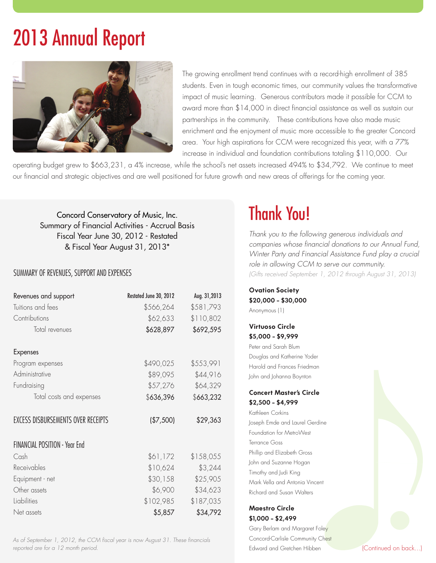# 2013 Annual Report



The growing enrollment trend continues with a record-high enrollment of 385 students. Even in tough economic times, our community values the transformative impact of music learning. Generous contributors made it possible for CCM to award more than \$14,000 in direct financial assistance as well as sustain our partnerships in the community. These contributions have also made music enrichment and the enjoyment of music more accessible to the greater Concord area. Your high aspirations for CCM were recognized this year, with a 77% increase in individual and foundation contributions totaling \$110,000. Our

operating budget grew to \$663,231, a 4% increase, while the school's net assets increased 494% to \$34,792. We continue to meet our financial and strategic objectives and are well positioned for future growth and new areas of offerings for the coming year.

Concord Conservatory of Music, Inc. Summary of Financial Activities - Accrual Basis Fiscal Year June 30, 2012 - Restated & Fiscal Year August 31, 2013\*

# SUMMARY OF REVENUES, SUPPORT AND EXPENSES

| Revenues and support                 | Restated June 30, 2012 | Aug. 31,2013 |
|--------------------------------------|------------------------|--------------|
| Tuitions and fees                    | \$566,264              | \$581,793    |
| Contributions                        | \$62,633               | \$110,802    |
| Total revenues                       | \$628,897              | \$692,595    |
| <b>Expenses</b>                      |                        |              |
| Program expenses                     | \$490,025              | \$553,991    |
| Administrative                       | \$89,095               | \$44,916     |
| Fundraising                          | \$57,276               | \$64,329     |
| Total costs and expenses             | \$636,396              | \$663,232    |
| EXCESS DISBURSEMENTS OVER RECEIPTS   | (\$7,500)              | \$29,363     |
| <b>FINANCIAL POSITION - Year End</b> |                        |              |
| Cash                                 | \$61,172               | \$158,055    |
| Receivables                          | \$10,624               | \$3,244      |
| Equipment - net                      | \$30,158               | \$25,905     |
| Other assets                         | \$6,900                | \$34,623     |
| Liabilities                          | \$102,985              | \$187,035    |
| Net assets                           | \$5,857                | \$34,792     |

*As of September 1, 2012, the CCM fiscal year is now August 31. These financials reported are for a 12 month period.* 

# Thank You!

*Thank you to the following generous individuals and companies whose financial donations to our Annual Fund, Winter Party and Financial Assistance Fund play a crucial role in allowing CCM to serve our community. (Gifts received September 1, 2012 through August 31, 2013)*

| <b>Ovation Society</b> |
|------------------------|
| \$20,000 - \$30,000    |
| Anonymous (1)          |

**Virtuoso Circle \$5,000 - \$9,999**

Peter and Sarah Blum Douglas and Katherine Yoder Harold and Frances Friedman John and Johanna Boynton

## **Concert Master's Circle \$2,500 - \$4,999**

Kathleen Corkins Joseph Emde and Laurel Gerdine Foundation for MetroWest Terrance Goss Phillip and Elizabeth Gross John and Suzanne Hogan Timothy and Judi King Mark Vella and Antonia Vincent Richard and Susan Walters

#### **Maestro Circle \$1,000 - \$2,499**

Gary Berlam and Margaret Foley Concord-Carlisle Community Chest Edward and Gretchen Hibben (Continued on back...)